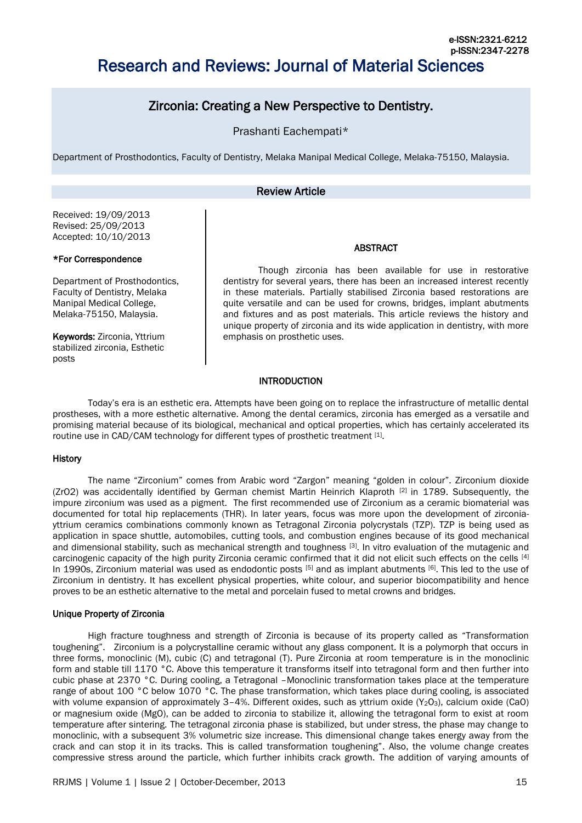# Research and Reviews: Journal of Material Sciences

## Zirconia: Creating a New Perspective to Dentistry.

Prashanti Eachempati\*

Department of Prosthodontics, Faculty of Dentistry, Melaka Manipal Medical College, Melaka-75150, Malaysia.

### Review Article

Received: 19/09/2013 Revised: 25/09/2013 Accepted: 10/10/2013

#### \*For Correspondence

Department of Prosthodontics, Faculty of Dentistry, Melaka Manipal Medical College, Melaka-75150, Malaysia.

Keywords: Zirconia, Yttrium stabilized zirconia, Esthetic posts

Though zirconia has been available for use in restorative dentistry for several years, there has been an increased interest recently in these materials. Partially stabilised Zirconia based restorations are quite versatile and can be used for crowns, bridges, implant abutments and fixtures and as post materials. This article reviews the history and unique property of zirconia and its wide application in dentistry, with more emphasis on prosthetic uses.

ABSTRACT

#### **INTRODUCTION**

Today's era is an esthetic era. Attempts have been going on to replace the infrastructure of metallic dental prostheses, with a more esthetic alternative. Among the dental ceramics, zirconia has emerged as a versatile and promising material because of its biological, mechanical and optical properties, which has certainly accelerated its routine use in CAD/CAM technology for different types of prosthetic treatment [1].

#### **History**

The name "Zirconium" comes from Arabic word "Zargon" meaning "golden in colour". Zirconium dioxide (ZrO2) was accidentally identified by German chemist Martin Heinrich Klaproth [2] in 1789. Subsequently, the impure zirconium was used as a pigment. The first recommended use of Zirconium as a ceramic biomaterial was documented for total hip replacements (THR). In later years, focus was more upon the development of zirconiayttrium ceramics combinations commonly known as Tetragonal Zirconia polycrystals (TZP). TZP is being used as application in space shuttle, automobiles, cutting tools, and combustion engines because of its good mechanical and dimensional stability, such as mechanical strength and toughness [3]. In vitro evaluation of the mutagenic and carcinogenic capacity of the high purity Zirconia ceramic confirmed that it did not elicit such effects on the cells [4] In 1990s, Zirconium material was used as endodontic posts [5] and as implant abutments [6]. This led to the use of Zirconium in dentistry. It has excellent physical properties, white colour, and superior biocompatibility and hence proves to be an esthetic alternative to the metal and porcelain fused to metal crowns and bridges.

#### Unique Property of Zirconia

High fracture toughness and strength of Zirconia is because of its property called as "Transformation toughening". Zirconium is a polycrystalline ceramic without any glass component. It is a polymorph that occurs in three forms, monoclinic (M), cubic (C) and tetragonal (T). Pure Zirconia at room temperature is in the monoclinic form and stable till 1170 °C. Above this temperature it transforms itself into tetragonal form and then further into cubic phase at 2370 °C. During cooling, a Tetragonal –Monoclinic transformation takes place at the temperature range of about 100 °C below 1070 °C. The phase transformation, which takes place during cooling, is associated with volume expansion of approximately 3-4%. Different oxides, such as yttrium oxide (Y<sub>2</sub>O<sub>3</sub>), calcium oxide (CaO) or magnesium oxide (MgO), can be added to zirconia to stabilize it, allowing the tetragonal form to exist at room temperature after sintering. The tetragonal zirconia phase is stabilized, but under stress, the phase may change to monoclinic, with a subsequent 3% volumetric size increase. This dimensional change takes energy away from the crack and can stop it in its tracks. This is called transformation toughening". Also, the volume change creates compressive stress around the particle, which further inhibits crack growth. The addition of varying amounts of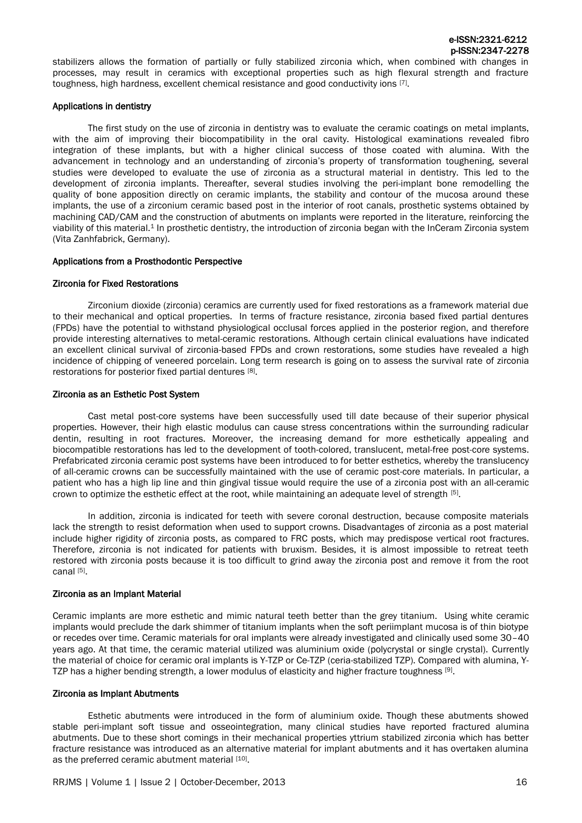stabilizers allows the formation of partially or fully stabilized zirconia which, when combined with changes in processes, may result in ceramics with exceptional properties such as high flexural strength and fracture toughness, high hardness, excellent chemical resistance and good conductivity ions  $^{[7]}$ .

#### Applications in dentistry

The first study on the use of zirconia in dentistry was to evaluate the ceramic coatings on metal implants, with the aim of improving their biocompatibility in the oral cavity. Histological examinations revealed fibro integration of these implants, but with a higher clinical success of those coated with alumina. With the advancement in technology and an understanding of zirconia's property of transformation toughening, several studies were developed to evaluate the use of zirconia as a structural material in dentistry. This led to the development of zirconia implants. Thereafter, several studies involving the peri-implant bone remodelling the quality of bone apposition directly on ceramic implants, the stability and contour of the mucosa around these implants, the use of a zirconium ceramic based post in the interior of root canals, prosthetic systems obtained by machining CAD/CAM and the construction of abutments on implants were reported in the literature, reinforcing the viability of this material.<sup>1</sup> In prosthetic dentistry, the introduction of zirconia began with the InCeram Zirconia system (Vita Zanhfabrick, Germany).

#### Applications from a Prosthodontic Perspective

#### Zirconia for Fixed Restorations

Zirconium dioxide (zirconia) ceramics are currently used for fixed restorations as a framework material due to their mechanical and optical properties. In terms of fracture resistance, zirconia based fixed partial dentures (FPDs) have the potential to withstand physiological occlusal forces applied in the posterior region, and therefore provide interesting alternatives to metal-ceramic restorations. Although certain clinical evaluations have indicated an excellent clinical survival of zirconia-based FPDs and crown restorations, some studies have revealed a high incidence of chipping of veneered porcelain. Long term research is going on to assess the survival rate of zirconia restorations for posterior fixed partial dentures [8].

#### Zirconia as an Esthetic Post System

Cast metal post-core systems have been successfully used till date because of their superior physical properties. However, their high elastic modulus can cause stress concentrations within the surrounding radicular dentin, resulting in root fractures. Moreover, the increasing demand for more esthetically appealing and biocompatible restorations has led to the development of tooth-colored, translucent, metal-free post-core systems. Prefabricated zirconia ceramic post systems have been introduced to for better esthetics, whereby the translucency of all-ceramic crowns can be successfully maintained with the use of ceramic post-core materials. In particular, a patient who has a high lip line and thin gingival tissue would require the use of a zirconia post with an all-ceramic crown to optimize the esthetic effect at the root, while maintaining an adequate level of strength [5].

In addition, zirconia is indicated for teeth with severe coronal destruction, because composite materials lack the strength to resist deformation when used to support crowns. Disadvantages of zirconia as a post material include higher rigidity of zirconia posts, as compared to FRC posts, which may predispose vertical root fractures. Therefore, zirconia is not indicated for patients with bruxism. Besides, it is almost impossible to retreat teeth restored with zirconia posts because it is too difficult to grind away the zirconia post and remove it from the root canal [5].

#### Zirconia as an Implant Material

Ceramic implants are more esthetic and mimic natural teeth better than the grey titanium. Using white ceramic implants would preclude the dark shimmer of titanium implants when the soft periimplant mucosa is of thin biotype or recedes over time. Ceramic materials for oral implants were already investigated and clinically used some 30–40 years ago. At that time, the ceramic material utilized was aluminium oxide (polycrystal or single crystal). Currently the material of choice for ceramic oral implants is Y-TZP or Ce-TZP (ceria-stabilized TZP). Compared with alumina, Y-TZP has a higher bending strength, a lower modulus of elasticity and higher fracture toughness [9].

#### Zirconia as Implant Abutments

Esthetic abutments were introduced in the form of aluminium oxide. Though these abutments showed stable peri-implant soft tissue and osseointegration, many clinical studies have reported fractured alumina abutments. Due to these short comings in their mechanical properties yttrium stabilized zirconia which has better fracture resistance was introduced as an alternative material for implant abutments and it has overtaken alumina as the preferred ceramic abutment material [10].